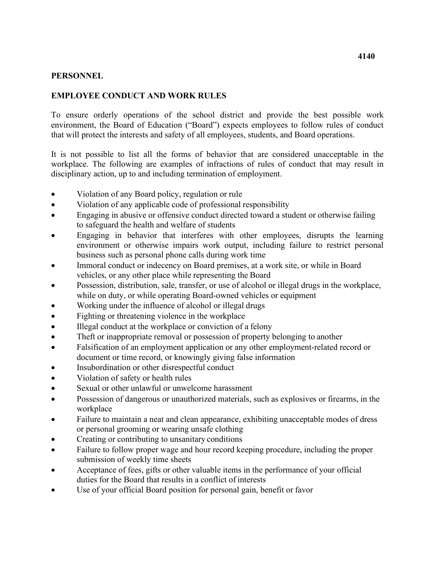## **PERSONNEL**

## **EMPLOYEE CONDUCT AND WORK RULES**

 that will protect the interests and safety of all employees, students, and Board operations. To ensure orderly operations of the school district and provide the best possible work environment, the Board of Education ("Board") expects employees to follow rules of conduct

It is not possible to list all the forms of behavior that are considered unacceptable in the workplace. The following are examples of infractions of rules of conduct that may result in disciplinary action, up to and including termination of employment.

- Violation of any Board policy, regulation or rule
- Violation of any applicable code of professional responsibility
- Engaging in abusive or offensive conduct directed toward a student or otherwise failing to safeguard the health and welfare of students
- business such as personal phone calls during work time • Engaging in behavior that interferes with other employees, disrupts the learning environment or otherwise impairs work output, including failure to restrict personal
- vehicles, or any other place while representing the Board Immoral conduct or indecency on Board premises, at a work site, or while in Board
- while on duty, or while operating Board-owned vehicles or equipment • Possession, distribution, sale, transfer, or use of alcohol or illegal drugs in the workplace,
- Working under the influence of alcohol or illegal drugs
- Fighting or threatening violence in the workplace
- Illegal conduct at the workplace or conviction of a felony
- Theft or inappropriate removal or possession of property belonging to another
- document or time record, or knowingly giving false information • Falsification of an employment application or any other employment-related record or
- Insubordination or other disrespectful conduct
- Violation of safety or health rules
- Sexual or other unlawful or unwelcome harassment
- Possession of dangerous or unauthorized materials, such as explosives or firearms, in the workplace
- or personal grooming or wearing unsafe clothing • Failure to maintain a neat and clean appearance, exhibiting unacceptable modes of dress
- Creating or contributing to unsanitary conditions
- submission of weekly time sheets • Failure to follow proper wage and hour record keeping procedure, including the proper
- • Acceptance of fees, gifts or other valuable items in the performance of your official duties for the Board that results in a conflict of interests
- Use of your official Board position for personal gain, benefit or favor